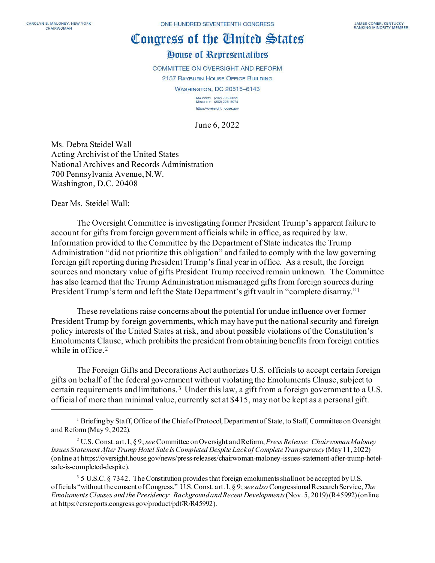## Congress of the Cinited States

## House of Representatives

**COMMITTEE ON OVERSIGHT AND REFORM** 2157 RAYBURN HOUSE OFFICE BUILDING

**WASHINGTON, DC 20515-6143** 

MAJORITY (202) 225-5051<br>MINORITY (202) 225-5074 https://oversight.house.gov

June 6, 2022

Ms. Debra Steidel Wall Acting Archivist of the United States National Archives and Records Administration 700 Pennsylvania Avenue, N.W. Washington, D.C. 20408

Dear Ms. Steidel Wall:

The Oversight Committee is investigating former President Trump's apparent failure to account for gifts from foreign government officials while in office, as required by law. Information provided to the Committee by the Department of State indicates the Trump Administration "did not prioritize this obligation" and failed to comply with the law governing foreign gift reporting during President Trump's final year in office. As a result, the foreign sources and monetary value of gifts President Trump received remain unknown. The Committee has also learned that the Trump Administration mismanaged gifts from foreign sources during President Trump's term and left the State Department's gift vault in "complete disarray.["1](#page-0-0)

These revelations raise concerns about the potential for undue influence over former President Trump by foreign governments, which may have put the national security and foreign policy interests of the United States at risk, and about possible violations of the Constitution's Emoluments Clause, which prohibits the president from obtaining benefits from foreign entities while in office.<sup>[2](#page-0-1)</sup>

The Foreign Gifts and Decorations Act authorizes U.S. officials to accept certain foreign gifts on behalf of the federal government without violating the Emoluments Clause, subject to certain requirements and limitations. [3](#page-0-2) Under this law, a gift from a foreign government to a U.S. official of more than minimal value, currently set at \$415, may not be kept as a personal gift.

<span id="page-0-0"></span><sup>&</sup>lt;sup>1</sup> Briefing by Staff, Office of the Chief of Protocol, Department of State, to Staff, Committee on Oversight and Reform (May 9, 2022).

<span id="page-0-1"></span><sup>2</sup> U.S. Const. art. I, § 9;*see* Committee on Oversight and Reform, *Press Release: Chairwoman Maloney Issues Statement After Trump Hotel Sale Is Completed Despite Lack of Complete Transparency* (May 11, 2022) (online at https://oversight.house.gov/news/press-releases/chairwoman-maloney-issues-statement-after-trump-hotelsale-is-completed-despite).

<span id="page-0-2"></span> $35 \text{ U.S. C. } 87342$ . The Constitution provides that foreign emoluments shall not be accepted by U.S. officials "without the consent of Congress." U.S. Const. art. I, § 9; s*ee also* Congressional Research Service, *The Emoluments Clauses and the Presidency: Background and Recent Developments* (Nov. 5, 2019) (R45992) (online at https://crsreports.congress.gov/product/pdf/R/R45992).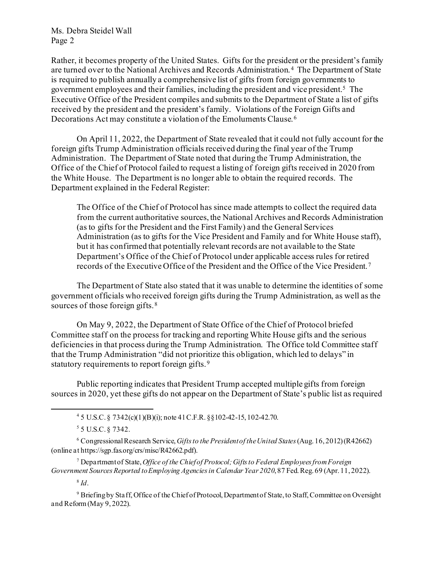Rather, it becomes property of the United States. Gifts for the president or the president's family are turned over to the National Archives and Records Administration. [4](#page-1-0) The Department of State is required to publish annually a comprehensive list of gifts from foreign governments to government employees and their families, including the president and vice president[.5](#page-1-1) The Executive Office of the President compiles and submits to the Department of State a list of gifts received by the president and the president's family. Violations of the Foreign Gifts and Decorations Act may constitute a violation of the Emoluments Clause.<sup>6</sup>

On April 11, 2022, the Department of State revealed that it could not fully account for the foreign gifts Trump Administration officials received during the final year of the Trump Administration. The Department of State noted that during the Trump Administration, the Office of the Chief of Protocol failed to request a listing of foreign gifts received in 2020 from the White House. The Department is no longer able to obtain the required records. The Department explained in the Federal Register:

The Office of the Chief of Protocol has since made attempts to collect the required data from the current authoritative sources, the National Archives and Records Administration (as to gifts for the President and the First Family) and the General Services Administration (as to gifts for the Vice President and Family and for White House staff), but it has confirmed that potentially relevant records are not available to the State Department's Office of the Chief of Protocol under applicable access rules for retired records of the Executive Office of the President and the Office of the Vice President.[7](#page-1-3)

The Department of State also stated that it was unable to determine the identities of some government officials who received foreign gifts during the Trump Administration, as well as the sources of those foreign gifts. [8](#page-1-4) 

On May 9, 2022, the Department of State Office of the Chief of Protocol briefed Committee staff on the process for tracking and reporting White House gifts and the serious deficiencies in that process during the Trump Administration. The Office told Committee staff that the Trump Administration "did not prioritize this obligation, which led to delays" in statutory requirements to report foreign gifts.<sup>[9](#page-1-5)</sup>

Public reporting indicates that President Trump accepted multiple gifts from foreign sources in 2020, yet these gifts do not appear on the Department of State's public list as required

<span id="page-1-3"></span><sup>7</sup> Department of State, *Office of the Chief of Protocol; Gifts to Federal Employees from Foreign Government Sources Reported to Employing Agencies in Calendar Year 2020*, 87 Fed. Reg. 69 (Apr. 11, 2022).

 $8$  *Id.* 

<span id="page-1-5"></span><span id="page-1-4"></span><sup>9</sup> Briefing by Staff, Office of the Chief of Protocol, Department of State, to Staff, Committee on Oversight and Reform (May 9, 2022).

<sup>4</sup> 5 U.S.C. § 7342(c)(1)(B)(i); note 41 C.F.R. §§102-42-15, 102-42.70.

<sup>5</sup> 5 U.S.C. § 7342.

<span id="page-1-2"></span><span id="page-1-1"></span><span id="page-1-0"></span><sup>6</sup> Congressional Research Service, *Gifts to the President of the United States*(Aug. 16, 2012) (R42662) (online at https://sgp.fas.org/crs/misc/R42662.pdf).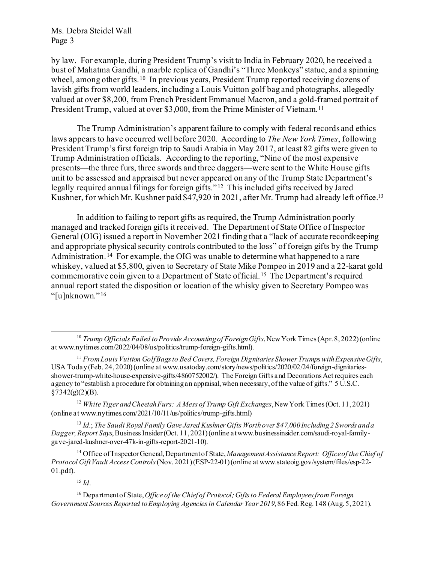by law. For example, during President Trump's visit to India in February 2020, he received a bust of Mahatma Gandhi, a marble replica of Gandhi's "Three Monkeys" statue, and a spinning wheel, among other gifts.<sup>10</sup> In previous years, President Trump reported receiving dozens of lavish gifts from world leaders, including a Louis Vuitton golf bag and photographs, allegedly valued at over \$8,200, from French President Emmanuel Macron, and a gold-framed portrait of President Trump, valued at over \$3,000, from the Prime Minister of Vietnam.<sup>[11](#page-2-1)</sup>

The Trump Administration's apparent failure to comply with federal records and ethics laws appears to have occurred well before 2020. According to *The New York Times*, following President Trump's first foreign trip to Saudi Arabia in May 2017, at least 82 gifts were given to Trump Administration officials. According to the reporting, "Nine of the most expensive presents—the three furs, three swords and three daggers—were sent to the White House gifts unit to be assessed and appraised but never appeared on any of the Trump State Department's legally required annual filings for foreign gifts." [12](#page-2-2) This included gifts received by Jared Kushner, for which Mr. Kushner paid \$47,920 in 2021, after Mr. Trump had already left office[.13](#page-2-3)

In addition to failing to report gifts as required, the Trump Administration poorly managed and tracked foreign gifts it received. The Department of State Office of Inspector General (OIG) issued a report in November 2021 finding that a "lack of accurate recordkeeping and appropriate physical security controls contributed to the loss" of foreign gifts by the Trump Administration.<sup>[14](#page-2-4)</sup> For example, the OIG was unable to determine what happened to a rare whiskey, valued at \$5,800, given to Secretary of State Mike Pompeo in 2019 and a 22-karat gold commemorative coin given to a Department of State official.[15](#page-2-5) The Department's required annual report stated the disposition or location of the whisky given to Secretary Pompeo was "[u]nknown." [16](#page-2-6)

<span id="page-2-2"></span><sup>12</sup> *White Tiger and Cheetah Furs: A Mess of Trump Gift Exchanges*, New York Times(Oct. 11, 2021) (online at www.nytimes.com/2021/10/11/us/politics/trump-gifts.html)

<span id="page-2-3"></span><sup>13</sup> *Id.*; *The Saudi Royal Family Gave Jared Kushner Gifts Worth over \$47,000 Including 2 Swords and a Dagger, Report Says*, Business Insider (Oct. 11, 2021) (online at www.businessinsider.com/saudi-royal-familygave-jared-kushner-over-47k-in-gifts-report-2021-10).

<span id="page-2-4"></span><sup>14</sup> Office of Inspector General, Department of State, *Management Assistance Report: Office of the Chief of Protocol Gift Vault Access Controls*(Nov. 2021) (ESP-22-01) (online at www.stateoig.gov/system/files/esp-22- 01.pdf).

 $^{15}$  *Id*.

<span id="page-2-6"></span><span id="page-2-5"></span><sup>16</sup> Department of State, *Office of the Chief of Protocol; Gifts to Federal Employees from Foreign Government Sources Reported to Employing Agencies in Calendar Year 2019*, 86 Fed. Reg. 148 (Aug. 5, 2021).

<span id="page-2-0"></span><sup>10</sup> *Trump Officials Failed to Provide Accounting of Foreign Gifts*, New York Times (Apr. 8, 2022) (online at www.nytimes.com/2022/04/08/us/politics/trump-foreign-gifts.html).

<span id="page-2-1"></span><sup>11</sup> *From Louis Vuitton Golf Bags to Bed Covers, Foreign Dignitaries Shower Trumps with Expensive Gifts*, USA Today (Feb. 24, 2020) (online at www.usatoday.com/story/news/politics/2020/02/24/foreign-dignitariesshower-trump-white-house-expensive-gifts/4860752002/). The Foreign Gifts and Decorations Act requires each agency to "establish a procedure for obtaining an appraisal, when necessary, of the value of gifts." 5 U.S.C.  $§7342(g)(2)(B).$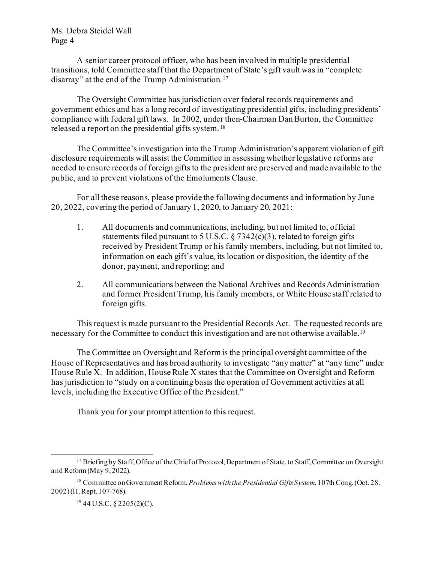A senior career protocol officer, who has been involved in multiple presidential transitions, told Committee staff that the Department of State's gift vault was in "complete disarray" at the end of the Trump Administration.<sup>[17](#page-3-0)</sup>

The Oversight Committee has jurisdiction over federal records requirements and government ethics and has a long record of investigating presidential gifts, including presidents' compliance with federal gift laws. In 2002, under then-Chairman Dan Burton, the Committee released a report on the presidential gifts system.<sup>18</sup>

The Committee's investigation into the Trump Administration's apparent violation of gift disclosure requirements will assist the Committee in assessing whether legislative reforms are needed to ensure records of foreign gifts to the president are preserved and made available to the public, and to prevent violations of the Emoluments Clause.

For all these reasons, please provide the following documents and information by June 20, 2022, covering the period of January 1, 2020, to January 20, 2021:

- 1. All documents and communications, including, but not limited to, official statements filed pursuant to 5 U.S.C.  $\S$  7342(c)(3), related to foreign gifts received by President Trump or his family members, including, but not limited to, information on each gift's value, its location or disposition, the identity of the donor, payment, and reporting; and
- 2. All communications between the National Archives and Records Administration and former President Trump, his family members, or White House staff related to foreign gifts.

This request is made pursuant to the Presidential Records Act. The requested records are necessary for the Committee to conduct this investigation and are not otherwise available.<sup>19</sup>

The Committee on Oversight and Reform is the principal oversight committee of the House of Representatives and has broad authority to investigate "any matter" at "any time" under House Rule X. In addition, House Rule X states that the Committee on Oversight and Reform has jurisdiction to "study on a continuing basis the operation of Government activities at all levels, including the Executive Office of the President."

Thank you for your prompt attention to this request.

<span id="page-3-0"></span><sup>&</sup>lt;sup>17</sup> Briefing by Staff, Office of the Chief of Protocol, Department of State, to Staff, Committee on Oversight and Reform (May 9, 2022).

<span id="page-3-2"></span><span id="page-3-1"></span><sup>18</sup> Committee on Government Reform, *Problems with the Presidential Gifts System*, 107th Cong.(Oct. 28. 2002) (H. Rept. 107-768).

 $19$  44 U.S.C. § 2205(2)(C).